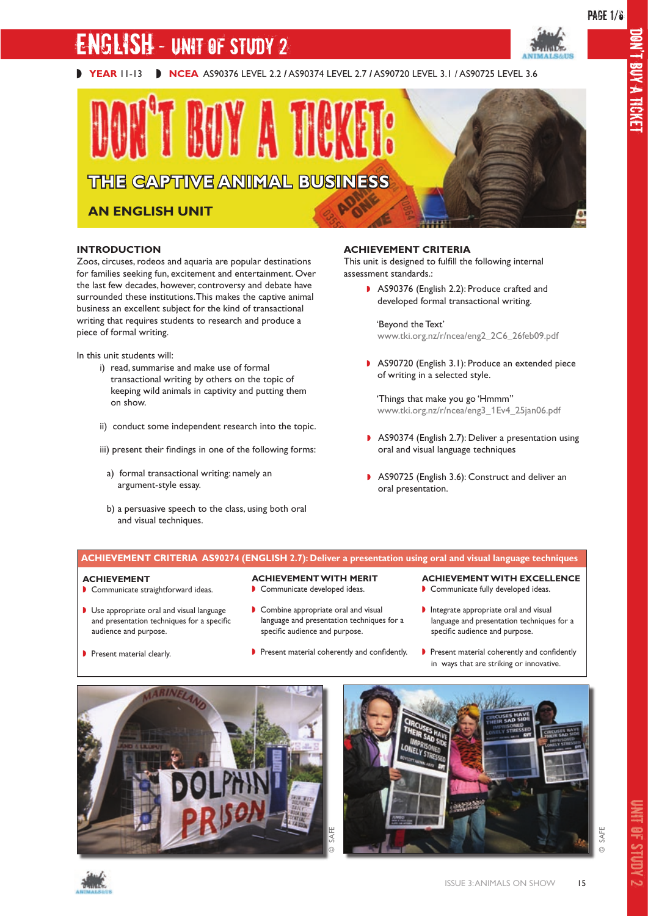# **IGLISH - UNIT OF STUDY 2**

# **THE CAPTIVE ANIMAL BUSINESS**

# **AN ENGLISH UNIT**

#### **INTRODUCTION**

Zoos, circuses, rodeos and aquaria are popular destinations for families seeking fun, excitement and entertainment. Over the last few decades, however, controversy and debate have surrounded these institutions. This makes the captive animal business an excellent subject for the kind of transactional writing that requires students to research and produce a piece of formal writing.

In this unit students will:

- i) read, summarise and make use of formal transactional writing by others on the topic of keeping wild animals in captivity and putting them on show.
- ii) conduct some independent research into the topic.
- iii) present their findings in one of the following forms:
	- a) formal transactional writing: namely an argument-style essay.
	- b) a persuasive speech to the class, using both oral and visual techniques.

#### **ACHIEVEMENT CRITERIA**

This unit is designed to fulfill the following internal assessment standards.:

> ◗ AS90376 (English 2.2): Produce crafted and developed formal transactional writing.

#### 'Beyond the Text' www.tki.org.nz/r/ncea/eng2\_2C6\_26feb09.pdf

◗ AS90720 (English 3.1): Produce an extended piece of writing in a selected style.

 'Things that make you go 'Hmmm'' www.tki.org.nz/r/ncea/eng3\_1Ev4\_25jan06.pdf

- ◗ AS90374 (English 2.7): Deliver a presentation using oral and visual language techniques
- ◗ AS90725 (English 3.6): Construct and deliver an oral presentation.

#### **ACHIEVEMENT CRITERIA AS90274 (ENGLISH 2.7): Deliver a presentation using oral and visual language techniques**

#### **ACHIEVEMENT**

◗ Communicate straightforward ideas.

◗ Use appropriate oral and visual language and presentation techniques for a specific

#### **ACHIEVEMENT WITH MERIT**

- ◗ Communicate developed ideas.
- ◗ Combine appropriate oral and visual language and presentation techniques for a specific audience and purpose.
- Present material clearly.

audience and purpose.

- ◗ Present material coherently and confidently.
- **ACHIEVEMENT WITH EXCELLENCE** ◗ Communicate fully developed ideas.
- 
- ◗ Integrate appropriate oral and visual language and presentation techniques for a specific audience and purpose.
- ◗ Present material coherently and confidently in ways that are striking or innovative.







© SAFE

DON'T BUY A TICKET **BUYA ROKET**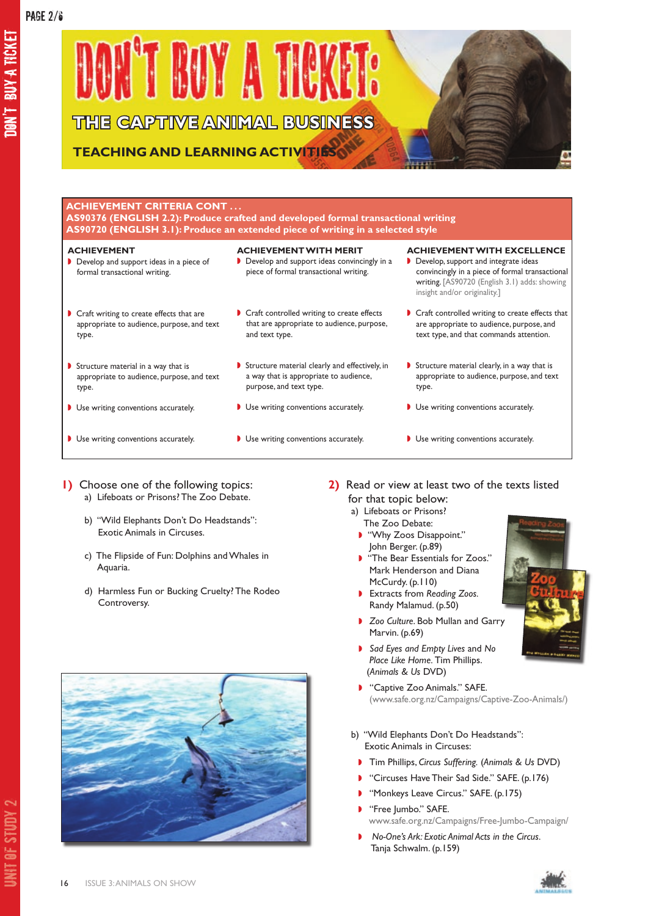DON'T BUY A TICKET

ON'T BUYA TICKET



# **ACHIEVEMENT CRITERIA CONT . . .**

**AS90376 (ENGLISH 2.2): Produce crafted and developed formal transactional writing AS90720 (ENGLISH 3.1): Produce an extended piece of writing in a selected style**

| <b>ACHIEVEMENT</b><br>Develop and support ideas in a piece of<br>formal transactional writing.  | <b>ACHIEVEMENT WITH MERIT</b><br>Develop and support ideas convincingly in a<br>piece of formal transactional writing. | <b>ACHIEVEMENT WITH EXCELLENCE</b><br>Develop, support and integrate ideas<br>convincingly in a piece of formal transactional<br>writing. [AS90720 (English 3.1) adds: showing<br>insight and/or originality.] |
|-------------------------------------------------------------------------------------------------|------------------------------------------------------------------------------------------------------------------------|----------------------------------------------------------------------------------------------------------------------------------------------------------------------------------------------------------------|
| Craft writing to create effects that are<br>appropriate to audience, purpose, and text<br>type. | Craft controlled writing to create effects<br>that are appropriate to audience, purpose,<br>and text type.             | Craft controlled writing to create effects that<br>are appropriate to audience, purpose, and<br>text type, and that commands attention.                                                                        |
| Structure material in a way that is<br>appropriate to audience, purpose, and text<br>type.      | Structure material clearly and effectively, in<br>a way that is appropriate to audience,<br>purpose, and text type.    | Structure material clearly, in a way that is<br>appropriate to audience, purpose, and text<br>type.                                                                                                            |
| Use writing conventions accurately.                                                             | Use writing conventions accurately.                                                                                    | Use writing conventions accurately.                                                                                                                                                                            |
| Use writing conventions accurately.                                                             | Use writing conventions accurately.                                                                                    | Use writing conventions accurately.                                                                                                                                                                            |

- **1)** Choose one of the following topics: a) Lifeboats or Prisons? The Zoo Debate.
	- b) "Wild Elephants Don't Do Headstands": Exotic Animals in Circuses.
	- c) The Flipside of Fun: Dolphins and Whales in Aquaria.
	- d) Harmless Fun or Bucking Cruelty? The Rodeo Controversy.



- **2)** Read or view at least two of the texts listed for that topic below:
	- a) Lifeboats or Prisons?
	- The Zoo Debate: ◗ "Why Zoos Disappoint."
	- John Berger. (p.89)
	- ◗ "The Bear Essentials for Zoos." Mark Henderson and Diana McCurdy. (p.110)
	- ◗ Extracts from *Reading Zoos.*  Randy Malamud. (p.50)
	- ◗ *Zoo Culture*. Bob Mullan and Garry Marvin. (p.69)
	- ◗ *Sad Eyes and Empty Lives* and *No Place Like Home.* Tim Phillips. (*Animals & Us* DVD)
	- ◗ "Captive Zoo Animals." SAFE. (www.safe.org.nz/Campaigns/Captive-Zoo-Animals/)
	- b) "Wild Elephants Don't Do Headstands": Exotic Animals in Circuses:
		- ◗ Tim Phillips, *Circus Suffering.* (*Animals & Us* DVD)
		- ◗ "Circuses Have Their Sad Side." SAFE. (p.176)
		- ◗ "Monkeys Leave Circus." SAFE. (p.175)
	- ◗ "Free Jumbo." SAFE. www.safe.org.nz/Campaigns/Free-Jumbo-Campaign/
	- ◗ *No-One's Ark: Exotic Animal Acts in the Circus.* Tanja Schwalm. (p.159)





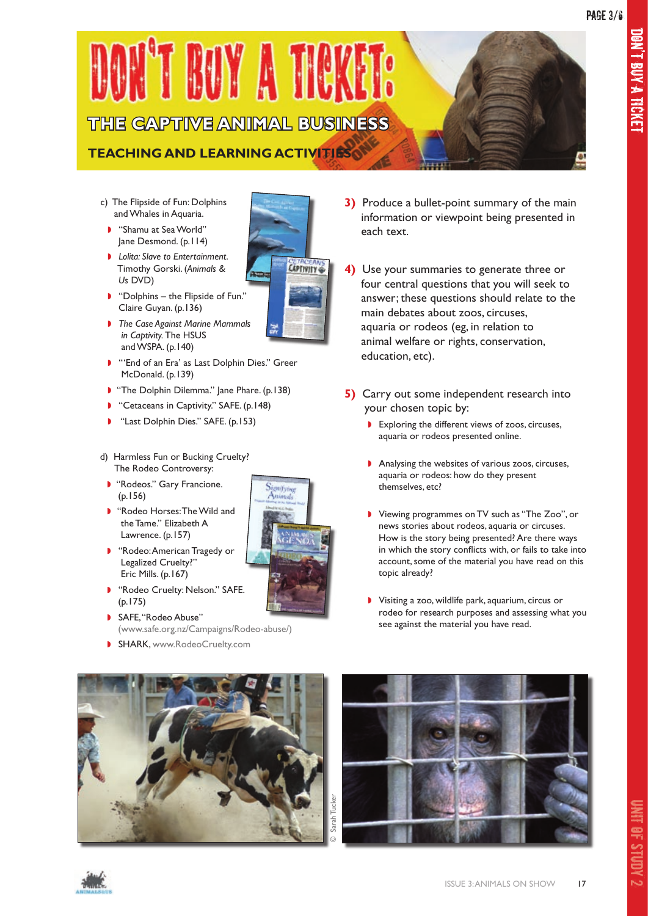

- c) The Flipside of Fun: Dolphins and Whales in Aquaria.
- ◗ "Shamu at Sea World" Jane Desmond. (p.114)
- ◗ *Lolita: Slave to Entertainment*. Timothy Gorski. (*Animals & Us* DVD)
- ◗ "Dolphins the Flipside of Fun." Claire Guyan. (p.136)
- ◗ *The Case Against Marine Mammals in Captivity.* The HSUS and WSPA. (p.140)
- ◗ "'End of an Era' as Last Dolphin Dies." Greer McDonald. (p.139)
- "The Dolphin Dilemma." Jane Phare. (p.138)
- "Cetaceans in Captivity." SAFE. (p.148)
- ◗ "Last Dolphin Dies." SAFE. (p.153)
- d) Harmless Fun or Bucking Cruelty? The Rodeo Controversy:
- ◗ "Rodeos." Gary Francione. (p.156)
- ◗ "Rodeo Horses: The Wild and the Tame." Elizabeth A Lawrence. (p.157)
- ◗ "Rodeo: American Tragedy or Legalized Cruelty?" Eric Mills. (p.167)
- ◗ "Rodeo Cruelty: Nelson." SAFE. (p.175)
- ◗ SAFE, "Rodeo Abuse" (www.safe.org.nz/Campaigns/Rodeo-abuse/)
- **B** SHARK, www.RodeoCruelty.com
- **3)** Produce a bullet-point summary of the main information or viewpoint being presented in each text.
- **4)** Use your summaries to generate three or four central questions that you will seek to answer; these questions should relate to the main debates about zoos, circuses, aquaria or rodeos (eg, in relation to animal welfare or rights, conservation, education, etc).
- **5)** Carry out some independent research into your chosen topic by:
	- ◗ Exploring the different views of zoos, circuses, aquaria or rodeos presented online.
	- ◗ Analysing the websites of various zoos, circuses, aquaria or rodeos: how do they present themselves, etc?
	- ◗ Viewing programmes on TV such as "The Zoo", or news stories about rodeos, aquaria or circuses. How is the story being presented? Are there ways in which the story conflicts with, or fails to take into account, some of the material you have read on this topic already?
	- ◗ Visiting a zoo, wildlife park, aquarium, circus or rodeo for research purposes and assessing what you see against the material you have read.







UNIT OF STUDY

 $\overline{v}$ 



**CAPTIVITY**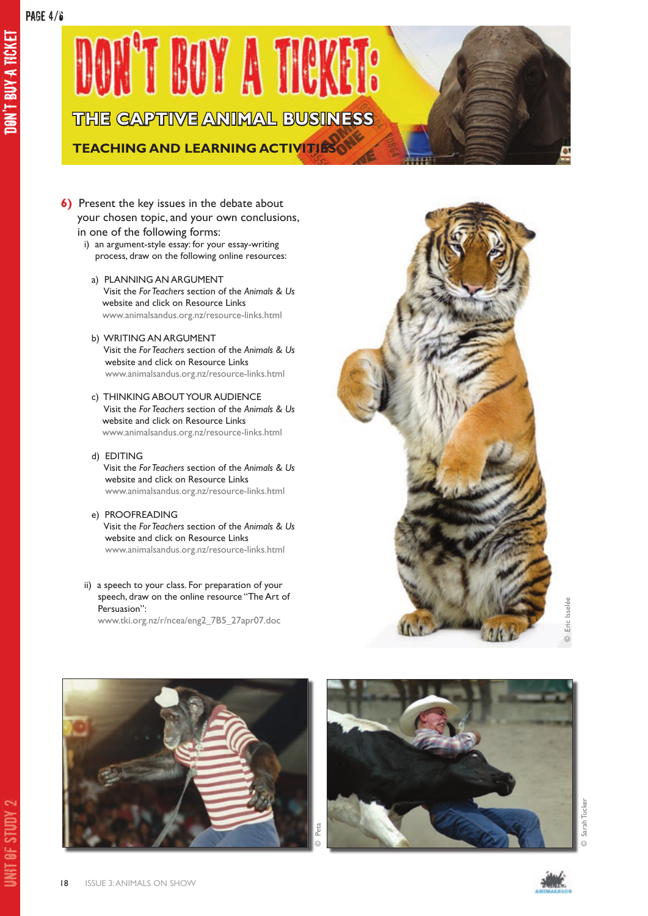DON'T BUY A TICKET

**JON'T BUY A TICKET** 

**TEACHING AND LEARNING ACTIVITIES**

- **6)** Present the key issues in the debate about your chosen topic, and your own conclusions, in one of the following forms:
	- i) an argument-style essay: for your essay-writing process, draw on the following online resources:
		- a) PLANNING AN ARGUMENT Visit the *For Teachers* section of the *Animals & Us* website and click on Resource Links www.animalsandus.org.nz/resource-links.html
		- b) WRITING AN ARGUMENT Visit the *For Teachers* section of the *Animals & Us*  website and click on Resource Links www.animalsandus.org.nz/resource-links.html
		- c) THINKING ABOUT YOUR AUDIENCE Visit the *For Teachers* section of the *Animals & Us* website and click on Resource Links www.animalsandus.org.nz/resource-links.html
		- d) EDITING Visit the *For Teachers* section of the *Animals & Us* website and click on Resource Links www.animalsandus.org.nz/resource-links.html
		- e) PROOFREADING Visit the *For Teachers* section of the *Animals & Us* website and click on Resource Links www.animalsandus.org.nz/resource-links.html
	- ii) a speech to your class. For preparation of your speech, draw on the online resource "The Art of Persuasion":

www.tki.org.nz/r/ncea/eng2\_7B5\_27apr07.doc









UNIT OF STUDY

 $\sim$ 

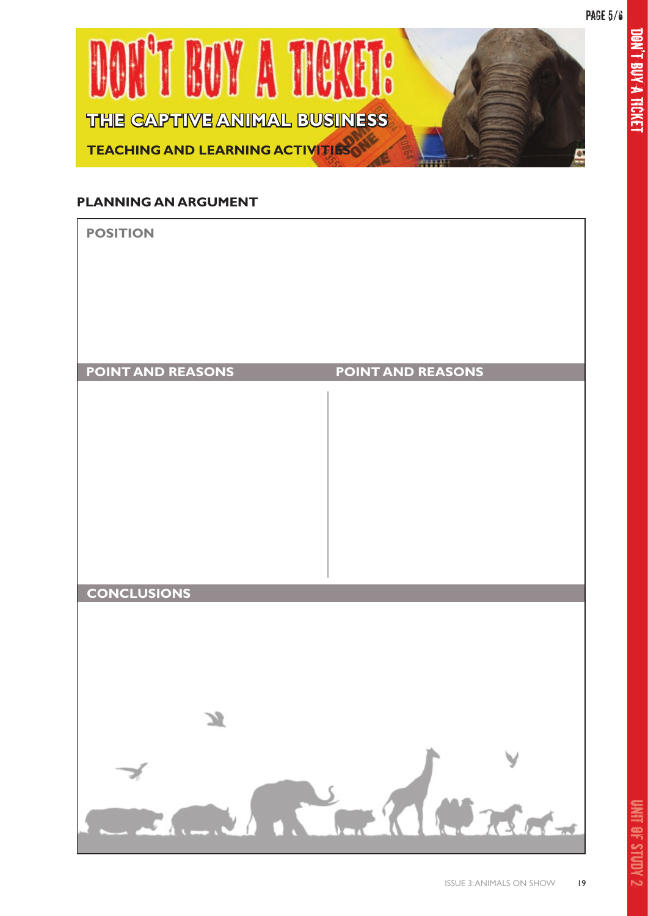

## **PLANNING AN ARGUMENT**



 $\overline{v}$